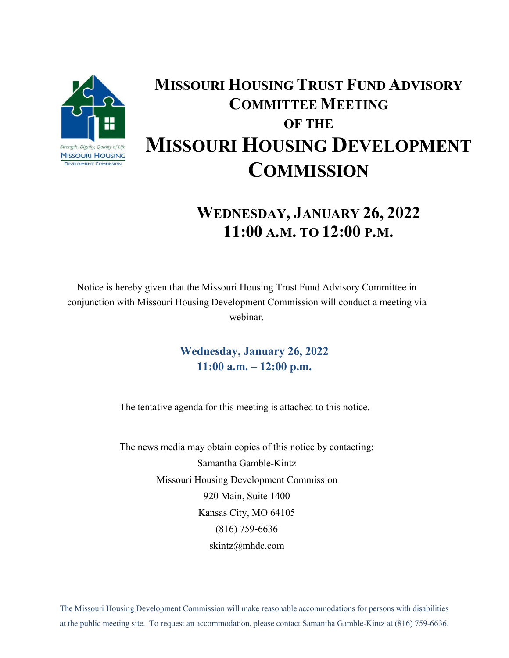

## **MISSOURI HOUSING TRUST FUND ADVISORY COMMITTEE MEETING OF THE MISSOURI HOUSING DEVELOPMENT COMMISSION**

## **WEDNESDAY, JANUARY 26, 2022 11:00 A.M. TO 12:00 P.M.**

Notice is hereby given that the Missouri Housing Trust Fund Advisory Committee in conjunction with Missouri Housing Development Commission will conduct a meeting via webinar.

> **Wednesday, January 26, 2022 11:00 a.m. – 12:00 p.m.**

The tentative agenda for this meeting is attached to this notice.

The news media may obtain copies of this notice by contacting: Samantha Gamble-Kintz Missouri Housing Development Commission 920 Main, Suite 1400 Kansas City, MO 64105 (816) 759-6636 skintz@mhdc.com

The Missouri Housing Development Commission will make reasonable accommodations for persons with disabilities at the public meeting site. To request an accommodation, please contact Samantha Gamble-Kintz at (816) 759-6636.